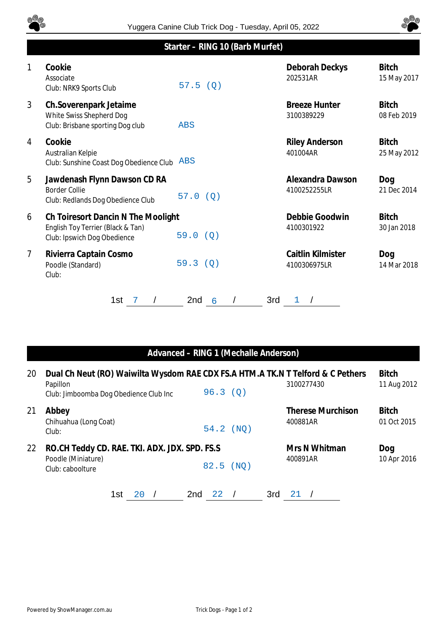



## **Starter – RING 10 (Barb Murfet)**

| 1              | Cookie<br>Associate<br>Club: NRK9 Sports Club                                                          | 57.5(Q)                     | Deborah Deckys<br>202531AR         | <b>Bitch</b><br>15 May 2017 |
|----------------|--------------------------------------------------------------------------------------------------------|-----------------------------|------------------------------------|-----------------------------|
| 3              | Ch.Soverenpark Jetaime<br>White Swiss Shepherd Dog<br>Club: Brisbane sporting Dog club                 | <b>ABS</b>                  | <b>Breeze Hunter</b><br>3100389229 | <b>Bitch</b><br>08 Feb 2019 |
| 4              | Cookie<br>Australian Kelpie<br>Club: Sunshine Coast Dog Obedience Club                                 | <b>ABS</b>                  | <b>Riley Anderson</b><br>401004AR  | <b>Bitch</b><br>25 May 2012 |
| 5              | Jawdenash Flynn Dawson CD RA<br><b>Border Collie</b><br>Club: Redlands Dog Obedience Club              | 57.0<br>(Q)                 | Alexandra Dawson<br>4100252255LR   | Dog<br>21 Dec 2014          |
| 6              | Ch Toiresort Dancin N The Moolight<br>English Toy Terrier (Black & Tan)<br>Club: Ipswich Dog Obedience | 59.0 (Q)                    | Debbie Goodwin<br>4100301922       | <b>Bitch</b><br>30 Jan 2018 |
| $\overline{7}$ | Rivierra Captain Cosmo<br>Poodle (Standard)<br>Club:                                                   | 59.3(Q)                     | Caitlin Kilmister<br>4100306975LR  | Dog<br>14 Mar 2018          |
|                | 1st                                                                                                    | 3rd<br>2 <sub>nd</sub><br>6 | 1                                  |                             |

## **Advanced – RING 1 (Mechalle Anderson)**

| 20 | Dual Ch Neut (RO) Waiwilta Wysdom RAE CDX FS.A HTM.A TK.N T Telford & C Pethers<br>Papillon<br>Club: Jimboomba Dog Obedience Club Inc | 96.3(0) |        | 3100277430                           | <b>Bitch</b><br>11 Aug 2012 |
|----|---------------------------------------------------------------------------------------------------------------------------------------|---------|--------|--------------------------------------|-----------------------------|
| 21 | Abbey<br>Chihuahua (Long Coat)<br>Club:                                                                                               | 54.2    | ( NO ) | <b>Therese Murchison</b><br>400881AR | <b>Bitch</b><br>01 Oct 2015 |
| 22 | RO.CH Teddy CD. RAE. TKI. ADX. JDX. SPD. FS.S<br>Poodle (Miniature)<br>Club: caboolture                                               | 82.5    | (NO)   | Mrs N Whitman<br>400891AR            | Dog<br>10 Apr 2016          |
|    | 2nd<br>1st                                                                                                                            | 22      | 3rd    |                                      |                             |